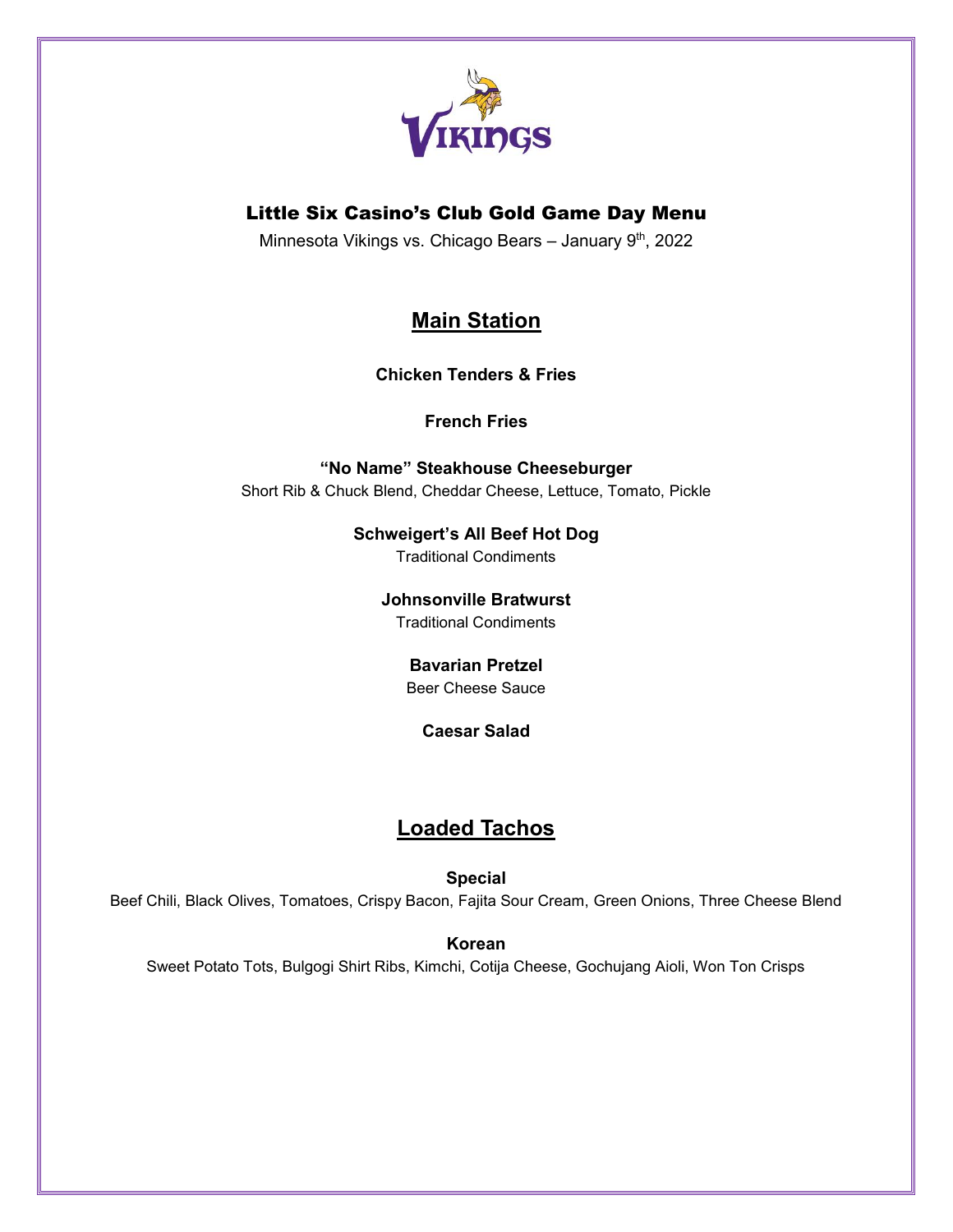

## Little Six Casino's Club Gold Game Day Menu

Minnesota Vikings vs. Chicago Bears - January 9<sup>th</sup>, 2022

# **Main Station**

**Chicken Tenders & Fries**

**French Fries**

**"No Name" Steakhouse Cheeseburger** Short Rib & Chuck Blend, Cheddar Cheese, Lettuce, Tomato, Pickle

> **Schweigert's All Beef Hot Dog** Traditional Condiments

**Johnsonville Bratwurst**

Traditional Condiments

### **Bavarian Pretzel**

Beer Cheese Sauce

**Caesar Salad**

## **Loaded Tachos**

**Special**

Beef Chili, Black Olives, Tomatoes, Crispy Bacon, Fajita Sour Cream, Green Onions, Three Cheese Blend

**Korean**

Sweet Potato Tots, Bulgogi Shirt Ribs, Kimchi, Cotija Cheese, Gochujang Aioli, Won Ton Crisps